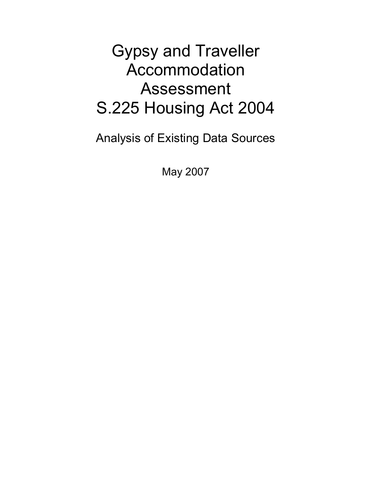# Gypsy and Traveller Accommodation Assessment S.225 Housing Act 2004

Analysis of Existing Data Sources

May 2007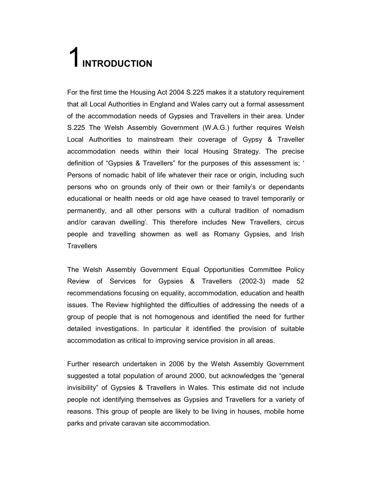# 1 INTRODUCTION

For the first time the Housing Act 2004 S.225 makes it a statutory requirement that all Local Authorities in England and Wales carry out a formal assessment of the accommodation needs of Gypsies and Travellers in their area. Under S.225 The Welsh Assembly Government (W.A.G.) further requires Welsh Local Authorities to mainstream their coverage of Gypsy & Traveller accommodation needs within their local Housing Strategy. The precise definition of "Gypsies & Travellers" for the purposes of this assessment is; ' Persons of nomadic habit of life whatever their race or origin, including such persons who on grounds only of their own or their family's or dependants educational or health needs or old age have ceased to travel temporarily or permanently, and all other persons with a cultural tradition of nomadism and/or caravan dwelling'. This therefore includes New Travellers, circus people and travelling showmen as well as Romany Gypsies, and Irish **Travellers** 

The Welsh Assembly Government Equal Opportunities Committee Policy Review of Services for Gypsies & Travellers (2002-3) made 52 recommendations focusing on equality, accommodation, education and health issues. The Review highlighted the difficulties of addressing the needs of a group of people that is not homogenous and identified the need for further detailed investigations. In particular it identified the provision of suitable accommodation as critical to improving service provision in all areas.

Further research undertaken in 2006 by the Welsh Assembly Government suggested a total population of around 2000, but acknowledges the "general invisibility" of Gypsies & Travellers in Wales. This estimate did not include people not identifying themselves as Gypsies and Travellers for a variety of reasons. This group of people are likely to be living in houses, mobile home parks and private caravan site accommodation.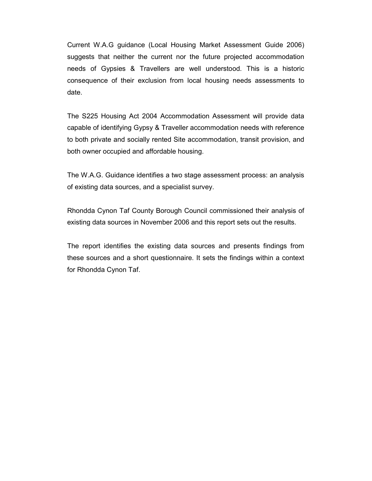Current W.A.G guidance (Local Housing Market Assessment Guide 2006) suggests that neither the current nor the future projected accommodation needs of Gypsies & Travellers are well understood. This is a historic consequence of their exclusion from local housing needs assessments to date.

The S225 Housing Act 2004 Accommodation Assessment will provide data capable of identifying Gypsy & Traveller accommodation needs with reference to both private and socially rented Site accommodation, transit provision, and both owner occupied and affordable housing.

The W.A.G. Guidance identifies a two stage assessment process: an analysis of existing data sources, and a specialist survey.

Rhondda Cynon Taf County Borough Council commissioned their analysis of existing data sources in November 2006 and this report sets out the results.

The report identifies the existing data sources and presents findings from these sources and a short questionnaire. It sets the findings within a context for Rhondda Cynon Taf.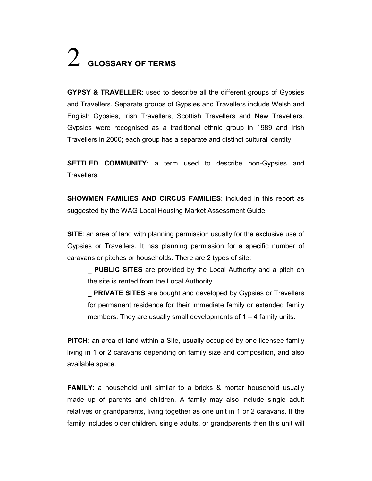# $2$  Glossary of Terms

GYPSY & TRAVELLER: used to describe all the different groups of Gypsies and Travellers. Separate groups of Gypsies and Travellers include Welsh and English Gypsies, Irish Travellers, Scottish Travellers and New Travellers. Gypsies were recognised as a traditional ethnic group in 1989 and Irish Travellers in 2000; each group has a separate and distinct cultural identity.

**SETTLED COMMUNITY:** a term used to describe non-Gypsies and Travellers.

SHOWMEN FAMILIES AND CIRCUS FAMILIES: included in this report as suggested by the WAG Local Housing Market Assessment Guide.

SITE: an area of land with planning permission usually for the exclusive use of Gypsies or Travellers. It has planning permission for a specific number of caravans or pitches or households. There are 2 types of site:

**PUBLIC SITES** are provided by the Local Authority and a pitch on the site is rented from the Local Authority.

**PRIVATE SITES** are bought and developed by Gypsies or Travellers for permanent residence for their immediate family or extended family members. They are usually small developments of  $1 - 4$  family units.

PITCH: an area of land within a Site, usually occupied by one licensee family living in 1 or 2 caravans depending on family size and composition, and also available space.

FAMILY: a household unit similar to a bricks & mortar household usually made up of parents and children. A family may also include single adult relatives or grandparents, living together as one unit in 1 or 2 caravans. If the family includes older children, single adults, or grandparents then this unit will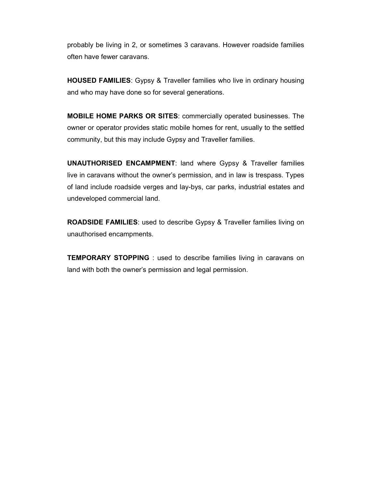probably be living in 2, or sometimes 3 caravans. However roadside families often have fewer caravans.

HOUSED FAMILIES: Gypsy & Traveller families who live in ordinary housing and who may have done so for several generations.

MOBILE HOME PARKS OR SITES: commercially operated businesses. The owner or operator provides static mobile homes for rent, usually to the settled community, but this may include Gypsy and Traveller families.

UNAUTHORISED ENCAMPMENT: land where Gypsy & Traveller families live in caravans without the owner's permission, and in law is trespass. Types of land include roadside verges and lay-bys, car parks, industrial estates and undeveloped commercial land.

ROADSIDE FAMILIES: used to describe Gypsy & Traveller families living on unauthorised encampments.

**TEMPORARY STOPPING**: used to describe families living in caravans on land with both the owner's permission and legal permission.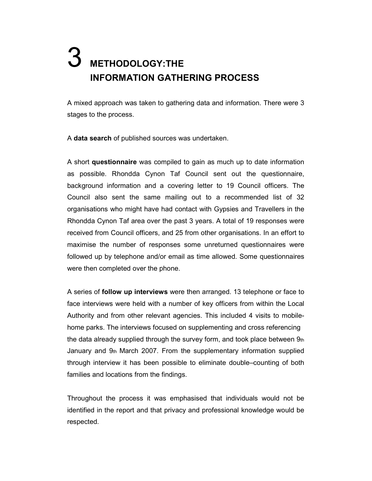# METHODOLOGY:THE INFORMATION GATHERING PROCESS

A mixed approach was taken to gathering data and information. There were 3 stages to the process.

A data search of published sources was undertaken.

A short questionnaire was compiled to gain as much up to date information as possible. Rhondda Cynon Taf Council sent out the questionnaire, background information and a covering letter to 19 Council officers. The Council also sent the same mailing out to a recommended list of 32 organisations who might have had contact with Gypsies and Travellers in the Rhondda Cynon Taf area over the past 3 years. A total of 19 responses were received from Council officers, and 25 from other organisations. In an effort to maximise the number of responses some unreturned questionnaires were followed up by telephone and/or email as time allowed. Some questionnaires were then completed over the phone.

A series of follow up interviews were then arranged. 13 telephone or face to face interviews were held with a number of key officers from within the Local Authority and from other relevant agencies. This included 4 visits to mobilehome parks. The interviews focused on supplementing and cross referencing the data already supplied through the survey form, and took place between  $9<sub>th</sub>$ January and  $9<sub>th</sub>$  March 2007. From the supplementary information supplied through interview it has been possible to eliminate double–counting of both families and locations from the findings.

Throughout the process it was emphasised that individuals would not be identified in the report and that privacy and professional knowledge would be respected.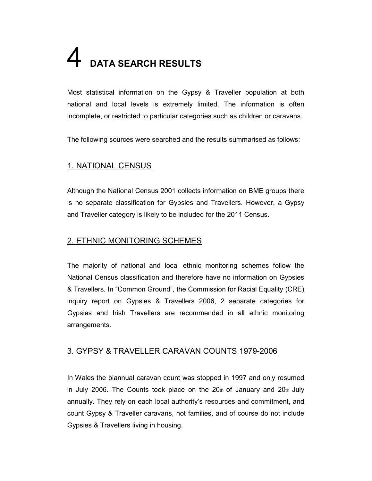# 4 DATA SEARCH RESULTS

Most statistical information on the Gypsy & Traveller population at both national and local levels is extremely limited. The information is often incomplete, or restricted to particular categories such as children or caravans.

The following sources were searched and the results summarised as follows:

# 1. NATIONAL CENSUS

Although the National Census 2001 collects information on BME groups there is no separate classification for Gypsies and Travellers. However, a Gypsy and Traveller category is likely to be included for the 2011 Census.

# 2. ETHNIC MONITORING SCHEMES

The majority of national and local ethnic monitoring schemes follow the National Census classification and therefore have no information on Gypsies & Travellers. In "Common Ground", the Commission for Racial Equality (CRE) inquiry report on Gypsies & Travellers 2006, 2 separate categories for Gypsies and Irish Travellers are recommended in all ethnic monitoring arrangements.

# 3. GYPSY & TRAVELLER CARAVAN COUNTS 1979-2006

In Wales the biannual caravan count was stopped in 1997 and only resumed in July 2006. The Counts took place on the  $20<sub>th</sub>$  of January and  $20<sub>th</sub>$  July annually. They rely on each local authority's resources and commitment, and count Gypsy & Traveller caravans, not families, and of course do not include Gypsies & Travellers living in housing.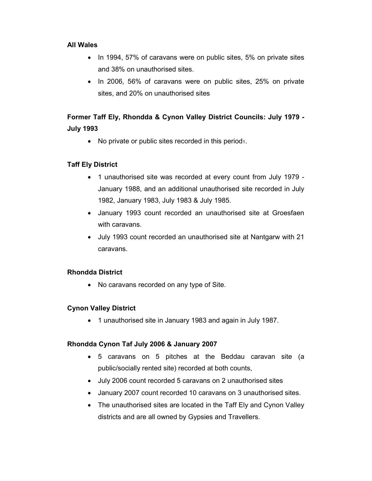#### All Wales

- In 1994, 57% of caravans were on public sites, 5% on private sites and 38% on unauthorised sites.
- In 2006, 56% of caravans were on public sites, 25% on private sites, and 20% on unauthorised sites

# Former Taff Ely, Rhondda & Cynon Valley District Councils: July 1979 - July 1993

• No private or public sites recorded in this period<sub>1</sub>.

### Taff Ely District

- 1 unauthorised site was recorded at every count from July 1979 January 1988, and an additional unauthorised site recorded in July 1982, January 1983, July 1983 & July 1985.
- January 1993 count recorded an unauthorised site at Groesfaen with caravans.
- July 1993 count recorded an unauthorised site at Nantgarw with 21 caravans.

#### Rhondda District

• No caravans recorded on any type of Site.

#### Cynon Valley District

• 1 unauthorised site in January 1983 and again in July 1987.

#### Rhondda Cynon Taf July 2006 & January 2007

- 5 caravans on 5 pitches at the Beddau caravan site (a public/socially rented site) recorded at both counts,
- July 2006 count recorded 5 caravans on 2 unauthorised sites
- January 2007 count recorded 10 caravans on 3 unauthorised sites.
- The unauthorised sites are located in the Taff Ely and Cynon Valley districts and are all owned by Gypsies and Travellers.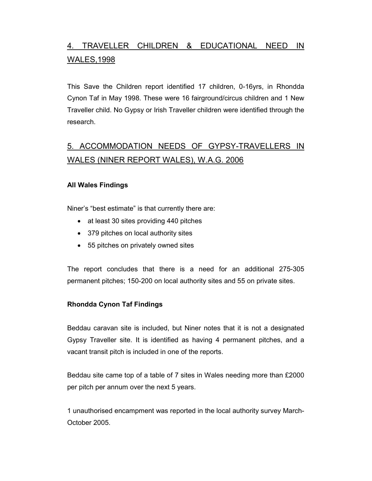# 4. TRAVELLER CHILDREN & EDUCATIONAL NEED IN WALES,1998

This Save the Children report identified 17 children, 0-16yrs, in Rhondda Cynon Taf in May 1998. These were 16 fairground/circus children and 1 New Traveller child. No Gypsy or Irish Traveller children were identified through the research.

# 5. ACCOMMODATION NEEDS OF GYPSY-TRAVELLERS IN WALES (NINER REPORT WALES), W.A.G. 2006

#### All Wales Findings

Niner's "best estimate" is that currently there are:

- at least 30 sites providing 440 pitches
- 379 pitches on local authority sites
- 55 pitches on privately owned sites

The report concludes that there is a need for an additional 275-305 permanent pitches; 150-200 on local authority sites and 55 on private sites.

#### Rhondda Cynon Taf Findings

Beddau caravan site is included, but Niner notes that it is not a designated Gypsy Traveller site. It is identified as having 4 permanent pitches, and a vacant transit pitch is included in one of the reports.

Beddau site came top of a table of 7 sites in Wales needing more than £2000 per pitch per annum over the next 5 years.

1 unauthorised encampment was reported in the local authority survey March-October 2005.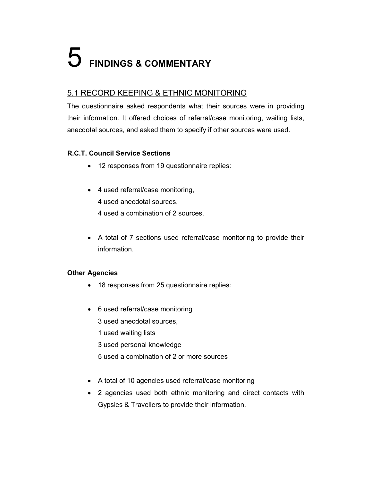# 5 FINDINGS & COMMENTARY

# 5.1 RECORD KEEPING & ETHNIC MONITORING

The questionnaire asked respondents what their sources were in providing their information. It offered choices of referral/case monitoring, waiting lists, anecdotal sources, and asked them to specify if other sources were used.

# R.C.T. Council Service Sections

- 12 responses from 19 questionnaire replies:
- 4 used referral/case monitoring,
	- 4 used anecdotal sources,
	- 4 used a combination of 2 sources.
- A total of 7 sections used referral/case monitoring to provide their information.

### Other Agencies

- 18 responses from 25 questionnaire replies:
- 6 used referral/case monitoring
	- 3 used anecdotal sources,
	- 1 used waiting lists
	- 3 used personal knowledge
	- 5 used a combination of 2 or more sources
- A total of 10 agencies used referral/case monitoring
- 2 agencies used both ethnic monitoring and direct contacts with Gypsies & Travellers to provide their information.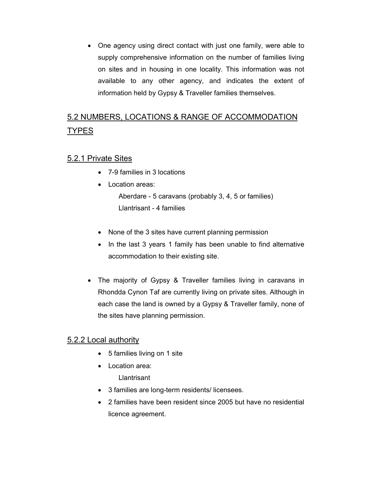• One agency using direct contact with just one family, were able to supply comprehensive information on the number of families living on sites and in housing in one locality. This information was not available to any other agency, and indicates the extent of information held by Gypsy & Traveller families themselves.

# 5.2 NUMBERS, LOCATIONS & RANGE OF ACCOMMODATION **TYPES**

# 5.2.1 Private Sites

- 7-9 families in 3 locations
- Location areas: Aberdare - 5 caravans (probably 3, 4, 5 or families) Llantrisant - 4 families
- None of the 3 sites have current planning permission
- In the last 3 years 1 family has been unable to find alternative accommodation to their existing site.
- The majority of Gypsy & Traveller families living in caravans in Rhondda Cynon Taf are currently living on private sites. Although in each case the land is owned by a Gypsy & Traveller family, none of the sites have planning permission.

# 5.2.2 Local authority

- 5 families living on 1 site
- Location area: **Llantrisant**
- 3 families are long-term residents/ licensees.
- 2 families have been resident since 2005 but have no residential licence agreement.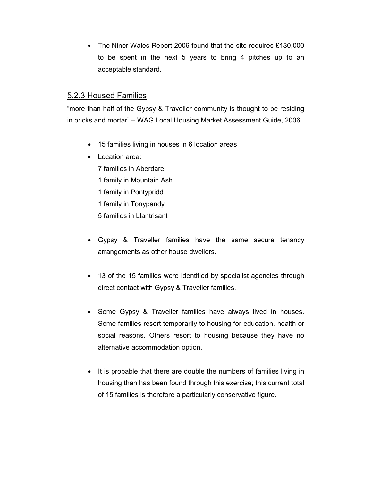• The Niner Wales Report 2006 found that the site requires £130,000 to be spent in the next 5 years to bring 4 pitches up to an acceptable standard.

### 5.2.3 Housed Families

"more than half of the Gypsy & Traveller community is thought to be residing in bricks and mortar" – WAG Local Housing Market Assessment Guide, 2006.

- 15 families living in houses in 6 location areas
- Location area:
	- 7 families in Aberdare
	- 1 family in Mountain Ash
	- 1 family in Pontypridd
	- 1 family in Tonypandy
	- 5 families in Llantrisant
- Gypsy & Traveller families have the same secure tenancy arrangements as other house dwellers.
- 13 of the 15 families were identified by specialist agencies through direct contact with Gypsy & Traveller families.
- Some Gypsy & Traveller families have always lived in houses. Some families resort temporarily to housing for education, health or social reasons. Others resort to housing because they have no alternative accommodation option.
- It is probable that there are double the numbers of families living in housing than has been found through this exercise; this current total of 15 families is therefore a particularly conservative figure.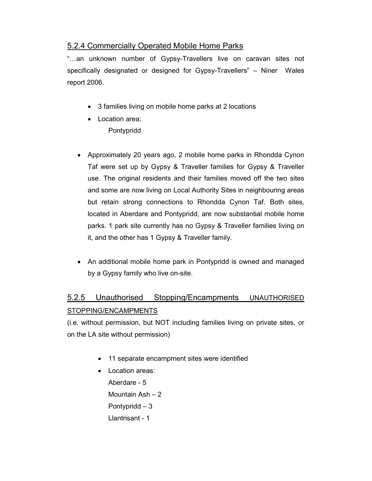# 5.2.4 Commercially Operated Mobile Home Parks

"…an unknown number of Gypsy-Travellers live on caravan sites not specifically designated or designed for Gypsy-Travellers" – Niner Wales report 2006.

- 3 families living on mobile home parks at 2 locations
- Location area: Pontypridd
- Approximately 20 years ago, 2 mobile home parks in Rhondda Cynon Taf were set up by Gypsy & Traveller families for Gypsy & Traveller use. The original residents and their families moved off the two sites and some are now living on Local Authority Sites in neighbouring areas but retain strong connections to Rhondda Cynon Taf. Both sites, located in Aberdare and Pontypridd, are now substantial mobile home parks. 1 park site currently has no Gypsy & Traveller families living on it, and the other has 1 Gypsy & Traveller family.
- An additional mobile home park in Pontypridd is owned and managed by a Gypsy family who live on-site.

# 5.2.5 Unauthorised Stopping/Encampments UNAUTHORISED STOPPING/ENCAMPMENTS

(i.e. without permission, but NOT including families living on private sites, or on the LA site without permission)

- 11 separate encampment sites were identified
- Location areas:

Aberdare - 5 Mountain Ash – 2 Pontypridd – 3 Llantrisant - 1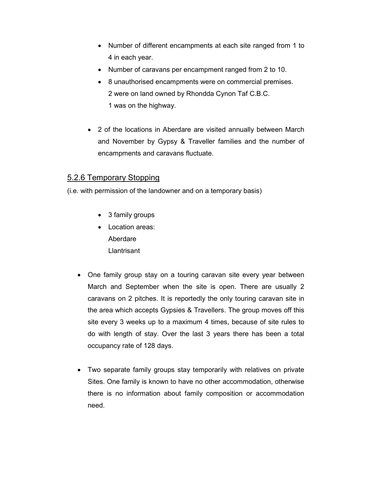- Number of different encampments at each site ranged from 1 to 4 in each year.
- Number of caravans per encampment ranged from 2 to 10.
- 8 unauthorised encampments were on commercial premises. 2 were on land owned by Rhondda Cynon Taf C.B.C. 1 was on the highway.
- 2 of the locations in Aberdare are visited annually between March and November by Gypsy & Traveller families and the number of encampments and caravans fluctuate.

# 5.2.6 Temporary Stopping

(i.e. with permission of the landowner and on a temporary basis)

- 3 family groups
- Location areas: Aberdare Llantrisant
- One family group stay on a touring caravan site every year between March and September when the site is open. There are usually 2 caravans on 2 pitches. It is reportedly the only touring caravan site in the area which accepts Gypsies & Travellers. The group moves off this site every 3 weeks up to a maximum 4 times, because of site rules to do with length of stay. Over the last 3 years there has been a total occupancy rate of 128 days.
- Two separate family groups stay temporarily with relatives on private Sites. One family is known to have no other accommodation, otherwise there is no information about family composition or accommodation need.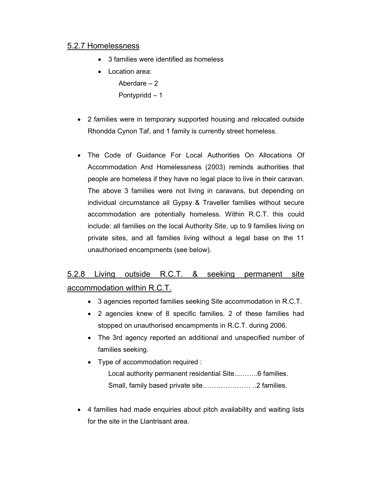### 5.2.7 Homelessness

- 3 families were identified as homeless
- Location area:

Aberdare – 2

Pontypridd – 1

- 2 families were in temporary supported housing and relocated outside Rhondda Cynon Taf, and 1 family is currently street homeless.
- The Code of Guidance For Local Authorities On Allocations Of Accommodation And Homelessness (2003) reminds authorities that people are homeless if they have no legal place to live in their caravan. The above 3 families were not living in caravans, but depending on individual circumstance all Gypsy & Traveller families without secure accommodation are potentially homeless. Within R.C.T. this could include: all families on the local Authority Site, up to 9 families living on private sites, and all families living without a legal base on the 11 unauthorised encampments (see below).

# 5.2.8 Living outside R.C.T. & seeking permanent site accommodation within R.C.T.

- 3 agencies reported families seeking Site accommodation in R.C.T.
- 2 agencies knew of 8 specific families. 2 of these families had stopped on unauthorised encampments in R.C.T. during 2006.
- The 3rd agency reported an additional and unspecified number of families seeking.
- Type of accommodation required : Local authority permanent residential Site...……..6 families. Small, family based private site………………… ..2 families.
- 4 families had made enquiries about pitch availability and waiting lists for the site in the Llantrisant area.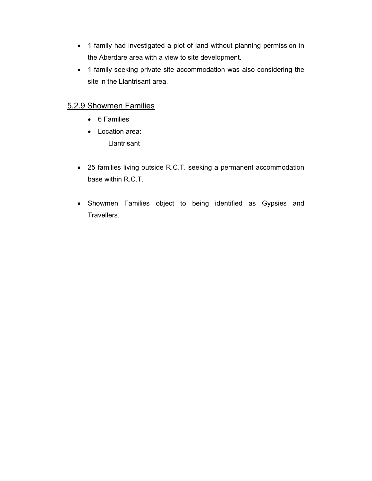- 1 family had investigated a plot of land without planning permission in the Aberdare area with a view to site development.
- 1 family seeking private site accommodation was also considering the site in the Llantrisant area.

# 5.2.9 Showmen Families

- 6 Families
- Location area: Llantrisant
- 25 families living outside R.C.T. seeking a permanent accommodation base within R.C.T.
- Showmen Families object to being identified as Gypsies and Travellers.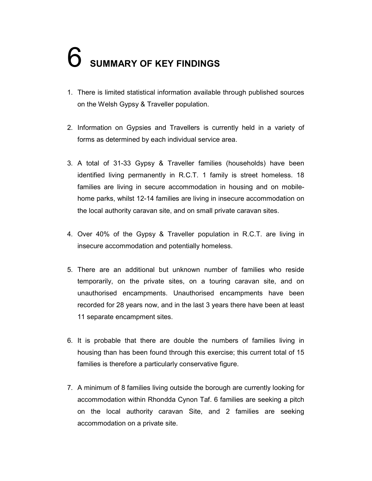# **6** SUMMARY OF KEY FINDINGS

- 1. There is limited statistical information available through published sources on the Welsh Gypsy & Traveller population.
- 2. Information on Gypsies and Travellers is currently held in a variety of forms as determined by each individual service area.
- 3. A total of 31-33 Gypsy & Traveller families (households) have been identified living permanently in R.C.T. 1 family is street homeless. 18 families are living in secure accommodation in housing and on mobilehome parks, whilst 12-14 families are living in insecure accommodation on the local authority caravan site, and on small private caravan sites.
- 4. Over 40% of the Gypsy & Traveller population in R.C.T. are living in insecure accommodation and potentially homeless.
- 5. There are an additional but unknown number of families who reside temporarily, on the private sites, on a touring caravan site, and on unauthorised encampments. Unauthorised encampments have been recorded for 28 years now, and in the last 3 years there have been at least 11 separate encampment sites.
- 6. It is probable that there are double the numbers of families living in housing than has been found through this exercise; this current total of 15 families is therefore a particularly conservative figure.
- 7. A minimum of 8 families living outside the borough are currently looking for accommodation within Rhondda Cynon Taf. 6 families are seeking a pitch on the local authority caravan Site, and 2 families are seeking accommodation on a private site.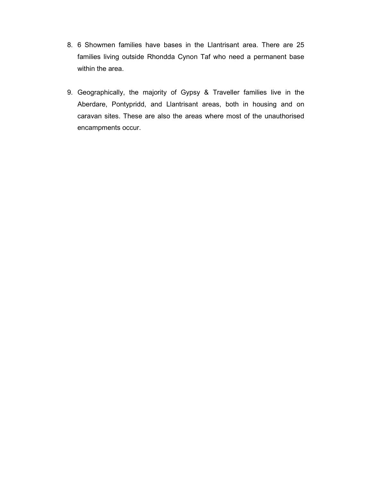- 8. 6 Showmen families have bases in the Llantrisant area. There are 25 families living outside Rhondda Cynon Taf who need a permanent base within the area.
- 9. Geographically, the majority of Gypsy & Traveller families live in the Aberdare, Pontypridd, and Llantrisant areas, both in housing and on caravan sites. These are also the areas where most of the unauthorised encampments occur.